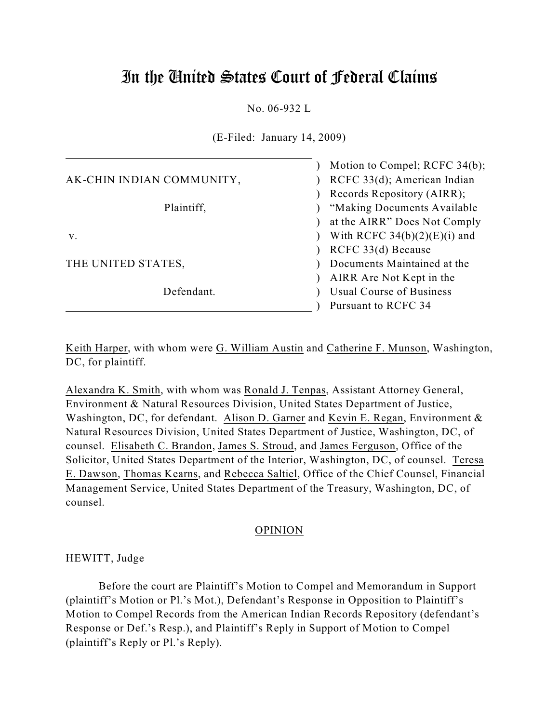# In the United States Court of Federal Claims

No. 06-932 L

(E-Filed: January 14, 2009)

|                           | Motion to Compel; RCFC 34(b);  |
|---------------------------|--------------------------------|
| AK-CHIN INDIAN COMMUNITY, | RCFC 33(d); American Indian    |
|                           | Records Repository (AIRR);     |
| Plaintiff,                | "Making Documents Available"   |
|                           | at the AIRR" Does Not Comply   |
| V.                        | With RCFC $34(b)(2)(E)(i)$ and |
|                           | RCFC 33(d) Because             |
| THE UNITED STATES,        | Documents Maintained at the    |
|                           | AIRR Are Not Kept in the       |
| Defendant.                | Usual Course of Business       |
|                           | Pursuant to RCFC 34            |

Keith Harper, with whom were G. William Austin and Catherine F. Munson, Washington, DC, for plaintiff.

Alexandra K. Smith, with whom was Ronald J. Tenpas, Assistant Attorney General, Environment & Natural Resources Division, United States Department of Justice, Washington, DC, for defendant. Alison D. Garner and Kevin E. Regan, Environment & Natural Resources Division, United States Department of Justice, Washington, DC, of counsel. Elisabeth C. Brandon, James S. Stroud, and James Ferguson, Office of the Solicitor, United States Department of the Interior, Washington, DC, of counsel. Teresa E. Dawson, Thomas Kearns, and Rebecca Saltiel, Office of the Chief Counsel, Financial Management Service, United States Department of the Treasury, Washington, DC, of counsel.

# OPINION

HEWITT, Judge

Before the court are Plaintiff's Motion to Compel and Memorandum in Support (plaintiff's Motion or Pl.'s Mot.), Defendant's Response in Opposition to Plaintiff's Motion to Compel Records from the American Indian Records Repository (defendant's Response or Def.'s Resp.), and Plaintiff's Reply in Support of Motion to Compel (plaintiff's Reply or Pl.'s Reply).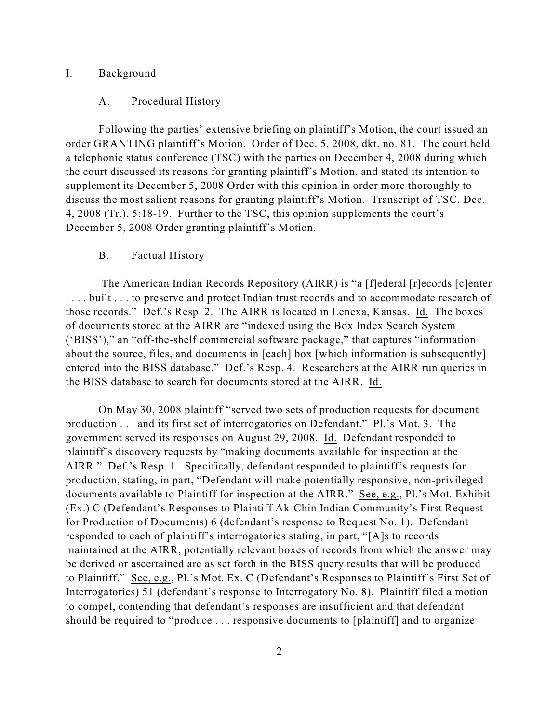### I. Background

#### A. Procedural History

Following the parties' extensive briefing on plaintiff's Motion, the court issued an order GRANTING plaintiff's Motion. Order of Dec. 5, 2008, dkt. no. 81. The court held a telephonic status conference (TSC) with the parties on December 4, 2008 during which the court discussed its reasons for granting plaintiff's Motion, and stated its intention to supplement its December 5, 2008 Order with this opinion in order more thoroughly to discuss the most salient reasons for granting plaintiff's Motion. Transcript of TSC, Dec. 4, 2008 (Tr.), 5:18-19. Further to the TSC, this opinion supplements the court's December 5, 2008 Order granting plaintiff's Motion.

## B. Factual History

 The American Indian Records Repository (AIRR) is "a [f]ederal [r]ecords [c]enter .... built ... to preserve and protect Indian trust records and to accommodate research of those records." Def.'s Resp. 2. The AIRR is located in Lenexa, Kansas. Id. The boxes of documents stored at the AIRR are "indexed using the Box Index Search System ('BISS')," an "off-the-shelf commercial software package," that captures "information about the source, files, and documents in [each] box [which information is subsequently] entered into the BISS database." Def.'s Resp. 4. Researchers at the AIRR run queries in the BISS database to search for documents stored at the AIRR. Id.

On May 30, 2008 plaintiff "served two sets of production requests for document production . . . and its first set of interrogatories on Defendant." Pl.'s Mot. 3. The government served its responses on August 29, 2008. Id. Defendant responded to plaintiff's discovery requests by "making documents available for inspection at the AIRR." Def.'s Resp. 1. Specifically, defendant responded to plaintiff's requests for production, stating, in part, "Defendant will make potentially responsive, non-privileged documents available to Plaintiff for inspection at the AIRR." See, e.g., Pl.'s Mot. Exhibit (Ex.) C (Defendant's Responses to Plaintiff Ak-Chin Indian Community's First Request for Production of Documents) 6 (defendant's response to Request No. 1). Defendant responded to each of plaintiff's interrogatories stating, in part, "[A]s to records maintained at the AIRR, potentially relevant boxes of records from which the answer may be derived or ascertained are as set forth in the BISS query results that will be produced to Plaintiff." See, e.g., Pl.'s Mot. Ex. C (Defendant's Responses to Plaintiff's First Set of Interrogatories) 51 (defendant's response to Interrogatory No. 8). Plaintiff filed a motion to compel, contending that defendant's responses are insufficient and that defendant should be required to "produce . . . responsive documents to [plaintiff] and to organize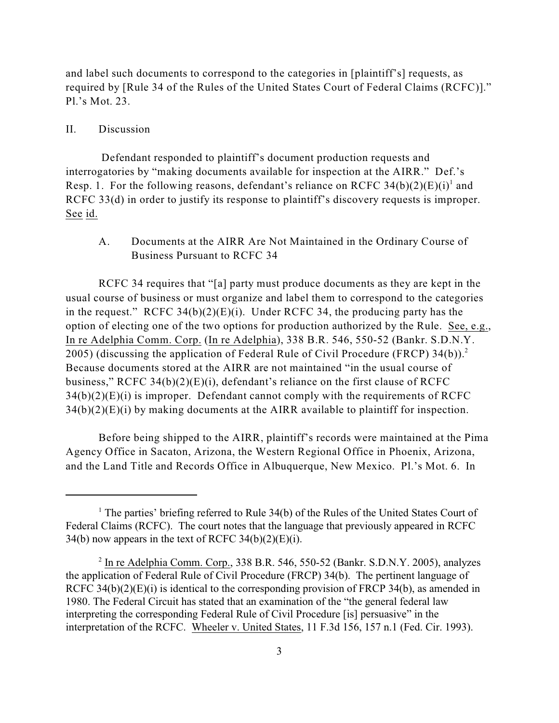and label such documents to correspond to the categories in [plaintiff's] requests, as required by [Rule 34 of the Rules of the United States Court of Federal Claims (RCFC)]." Pl.'s Mot. 23.

#### II. Discussion

 Defendant responded to plaintiff's document production requests and interrogatories by "making documents available for inspection at the AIRR." Def.'s Resp. 1. For the following reasons, defendant's reliance on RCFC  $34(b)(2)(E)(i)^{1}$  and RCFC 33(d) in order to justify its response to plaintiff's discovery requests is improper. See id.

A. Documents at the AIRR Are Not Maintained in the Ordinary Course of Business Pursuant to RCFC 34

RCFC 34 requires that "[a] party must produce documents as they are kept in the usual course of business or must organize and label them to correspond to the categories in the request." RCFC  $34(b)(2)(E)(i)$ . Under RCFC 34, the producing party has the option of electing one of the two options for production authorized by the Rule. See, e.g., In re Adelphia Comm. Corp. (In re Adelphia), 338 B.R. 546, 550-52 (Bankr. S.D.N.Y. 2005) (discussing the application of Federal Rule of Civil Procedure (FRCP)  $34(b)$ ).<sup>2</sup> Because documents stored at the AIRR are not maintained "in the usual course of business," RCFC 34(b)(2)(E)(i), defendant's reliance on the first clause of RCFC  $34(b)(2)(E)(i)$  is improper. Defendant cannot comply with the requirements of RCFC  $34(b)(2)(E)(i)$  by making documents at the AIRR available to plaintiff for inspection.

Before being shipped to the AIRR, plaintiff's records were maintained at the Pima Agency Office in Sacaton, Arizona, the Western Regional Office in Phoenix, Arizona, and the Land Title and Records Office in Albuquerque, New Mexico. Pl.'s Mot. 6. In

 $<sup>1</sup>$  The parties' briefing referred to Rule 34(b) of the Rules of the United States Court of</sup> Federal Claims (RCFC). The court notes that the language that previously appeared in RCFC 34(b) now appears in the text of RCFC 34(b)(2)(E)(i).

 $<sup>2</sup>$  In re Adelphia Comm. Corp., 338 B.R. 546, 550-52 (Bankr. S.D.N.Y. 2005), analyzes</sup> the application of Federal Rule of Civil Procedure (FRCP) 34(b). The pertinent language of RCFC 34(b)(2)(E)(i) is identical to the corresponding provision of FRCP 34(b), as amended in 1980. The Federal Circuit has stated that an examination of the "the general federal law interpreting the corresponding Federal Rule of Civil Procedure [is] persuasive" in the interpretation of the RCFC. Wheeler v. United States, 11 F.3d 156, 157 n.1 (Fed. Cir. 1993).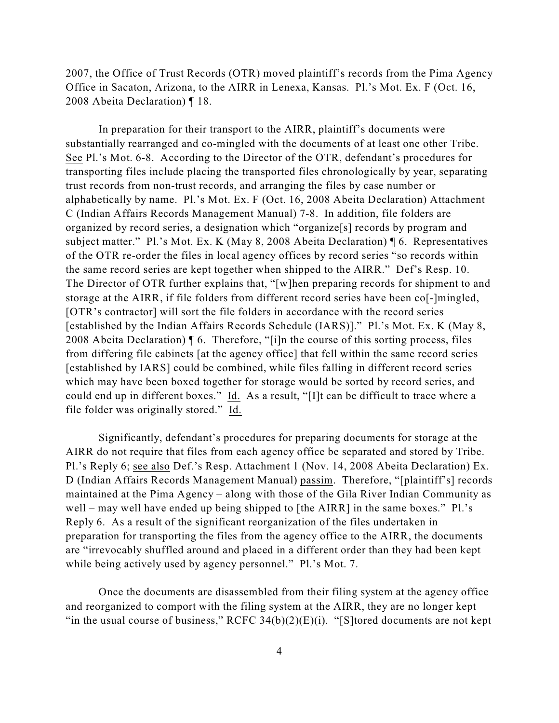2007, the Office of Trust Records (OTR) moved plaintiff's records from the Pima Agency Office in Sacaton, Arizona, to the AIRR in Lenexa, Kansas. Pl.'s Mot. Ex. F (Oct. 16, 2008 Abeita Declaration) ¶ 18.

In preparation for their transport to the AIRR, plaintiff's documents were substantially rearranged and co-mingled with the documents of at least one other Tribe. See Pl.'s Mot. 6-8. According to the Director of the OTR, defendant's procedures for transporting files include placing the transported files chronologically by year, separating trust records from non-trust records, and arranging the files by case number or alphabetically by name. Pl.'s Mot. Ex. F (Oct. 16, 2008 Abeita Declaration) Attachment C (Indian Affairs Records Management Manual) 7-8. In addition, file folders are organized by record series, a designation which "organize[s] records by program and subject matter." Pl.'s Mot. Ex. K (May 8, 2008 Abeita Declaration) ¶ 6. Representatives of the OTR re-order the files in local agency offices by record series "so records within the same record series are kept together when shipped to the AIRR." Def's Resp. 10. The Director of OTR further explains that, "[w]hen preparing records for shipment to and storage at the AIRR, if file folders from different record series have been co[-]mingled, [OTR's contractor] will sort the file folders in accordance with the record series [established by the Indian Affairs Records Schedule (IARS)]." Pl.'s Mot. Ex. K (May 8, 2008 Abeita Declaration) ¶ 6. Therefore, "[i]n the course of this sorting process, files from differing file cabinets [at the agency office] that fell within the same record series [established by IARS] could be combined, while files falling in different record series which may have been boxed together for storage would be sorted by record series, and could end up in different boxes." Id. As a result, "[I]t can be difficult to trace where a file folder was originally stored." Id.

Significantly, defendant's procedures for preparing documents for storage at the AIRR do not require that files from each agency office be separated and stored by Tribe. Pl.'s Reply 6; see also Def.'s Resp. Attachment 1 (Nov. 14, 2008 Abeita Declaration) Ex. D (Indian Affairs Records Management Manual) passim. Therefore, "[plaintiff's] records maintained at the Pima Agency – along with those of the Gila River Indian Community as well – may well have ended up being shipped to [the AIRR] in the same boxes." Pl.'s Reply 6. As a result of the significant reorganization of the files undertaken in preparation for transporting the files from the agency office to the AIRR, the documents are "irrevocably shuffled around and placed in a different order than they had been kept while being actively used by agency personnel." Pl.'s Mot. 7.

Once the documents are disassembled from their filing system at the agency office and reorganized to comport with the filing system at the AIRR, they are no longer kept "in the usual course of business," RCFC 34(b)(2)(E)(i). "[S]tored documents are not kept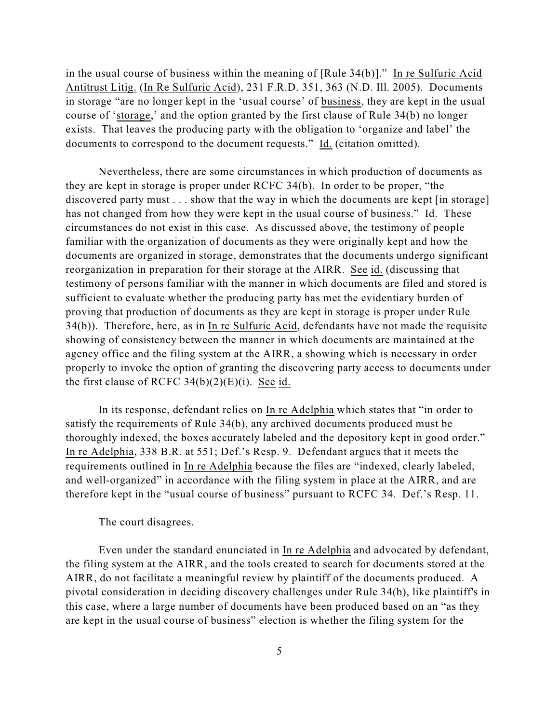in the usual course of business within the meaning of [Rule 34(b)]." In re Sulfuric Acid Antitrust Litig. (In Re Sulfuric Acid), 231 F.R.D. 351, 363 (N.D. Ill. 2005). Documents in storage "are no longer kept in the 'usual course' of business, they are kept in the usual course of 'storage,' and the option granted by the first clause of Rule 34(b) no longer exists. That leaves the producing party with the obligation to 'organize and label' the documents to correspond to the document requests." Id. (citation omitted).

Nevertheless, there are some circumstances in which production of documents as they are kept in storage is proper under RCFC 34(b). In order to be proper, "the discovered party must . . . show that the way in which the documents are kept [in storage] has not changed from how they were kept in the usual course of business." Id. These circumstances do not exist in this case. As discussed above, the testimony of people familiar with the organization of documents as they were originally kept and how the documents are organized in storage, demonstrates that the documents undergo significant reorganization in preparation for their storage at the AIRR. See id. (discussing that testimony of persons familiar with the manner in which documents are filed and stored is sufficient to evaluate whether the producing party has met the evidentiary burden of proving that production of documents as they are kept in storage is proper under Rule 34(b)). Therefore, here, as in In re Sulfuric Acid, defendants have not made the requisite showing of consistency between the manner in which documents are maintained at the agency office and the filing system at the AIRR, a showing which is necessary in order properly to invoke the option of granting the discovering party access to documents under the first clause of RCFC  $34(b)(2)(E)(i)$ . See id.

In its response, defendant relies on In re Adelphia which states that "in order to satisfy the requirements of Rule 34(b), any archived documents produced must be thoroughly indexed, the boxes accurately labeled and the depository kept in good order." In re Adelphia, 338 B.R. at 551; Def.'s Resp. 9. Defendant argues that it meets the requirements outlined in In re Adelphia because the files are "indexed, clearly labeled, and well-organized" in accordance with the filing system in place at the AIRR, and are therefore kept in the "usual course of business" pursuant to RCFC 34. Def.'s Resp. 11.

## The court disagrees.

Even under the standard enunciated in In re Adelphia and advocated by defendant, the filing system at the AIRR, and the tools created to search for documents stored at the AIRR, do not facilitate a meaningful review by plaintiff of the documents produced. A pivotal consideration in deciding discovery challenges under Rule 34(b), like plaintiff's in this case, where a large number of documents have been produced based on an "as they are kept in the usual course of business" election is whether the filing system for the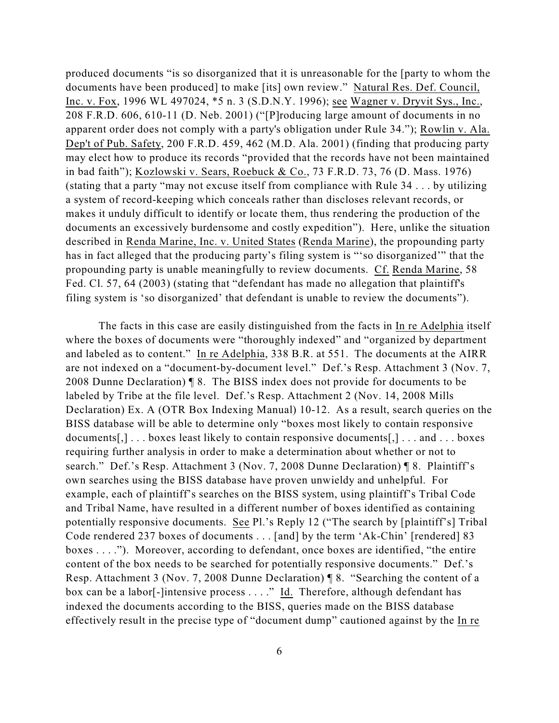produced documents "is so disorganized that it is unreasonable for the [party to whom the documents have been produced] to make [its] own review." Natural Res. Def. Council, Inc. v. Fox, 1996 WL 497024, \*5 n. 3 (S.D.N.Y. 1996); see Wagner v. Dryvit Sys., Inc., 208 F.R.D. 606, 610-11 (D. Neb. 2001) ("[P]roducing large amount of documents in no apparent order does not comply with a party's obligation under Rule 34."); Rowlin v. Ala. Dep't of Pub. Safety, 200 F.R.D. 459, 462 (M.D. Ala. 2001) (finding that producing party may elect how to produce its records "provided that the records have not been maintained in bad faith"); Kozlowski v. Sears, Roebuck & Co., 73 F.R.D. 73, 76 (D. Mass. 1976) (stating that a party "may not excuse itself from compliance with Rule 34 . . . by utilizing a system of record-keeping which conceals rather than discloses relevant records, or makes it unduly difficult to identify or locate them, thus rendering the production of the documents an excessively burdensome and costly expedition"). Here, unlike the situation described in Renda Marine, Inc. v. United States (Renda Marine), the propounding party has in fact alleged that the producing party's filing system is "'so disorganized'" that the propounding party is unable meaningfully to review documents. Cf. Renda Marine, 58 Fed. Cl. 57, 64 (2003) (stating that "defendant has made no allegation that plaintiff's filing system is 'so disorganized' that defendant is unable to review the documents").

The facts in this case are easily distinguished from the facts in In re Adelphia itself where the boxes of documents were "thoroughly indexed" and "organized by department and labeled as to content." In re Adelphia, 338 B.R. at 551. The documents at the AIRR are not indexed on a "document-by-document level." Def.'s Resp. Attachment 3 (Nov. 7, 2008 Dunne Declaration) ¶ 8. The BISS index does not provide for documents to be labeled by Tribe at the file level. Def.'s Resp. Attachment 2 (Nov. 14, 2008 Mills Declaration) Ex. A (OTR Box Indexing Manual) 10-12. As a result, search queries on the BISS database will be able to determine only "boxes most likely to contain responsive documents[,] . . . boxes least likely to contain responsive documents[,] . . . and . . . boxes requiring further analysis in order to make a determination about whether or not to search." Def.'s Resp. Attachment 3 (Nov. 7, 2008 Dunne Declaration) ¶ 8. Plaintiff's own searches using the BISS database have proven unwieldy and unhelpful. For example, each of plaintiff's searches on the BISS system, using plaintiff's Tribal Code and Tribal Name, have resulted in a different number of boxes identified as containing potentially responsive documents. See Pl.'s Reply 12 ("The search by [plaintiff's] Tribal Code rendered 237 boxes of documents . . . [and] by the term 'Ak-Chin' [rendered] 83 boxes . . . ."). Moreover, according to defendant, once boxes are identified, "the entire content of the box needs to be searched for potentially responsive documents." Def.'s Resp. Attachment 3 (Nov. 7, 2008 Dunne Declaration) ¶ 8. "Searching the content of a box can be a labor[-]intensive process . . . ." Id. Therefore, although defendant has indexed the documents according to the BISS, queries made on the BISS database effectively result in the precise type of "document dump" cautioned against by the In re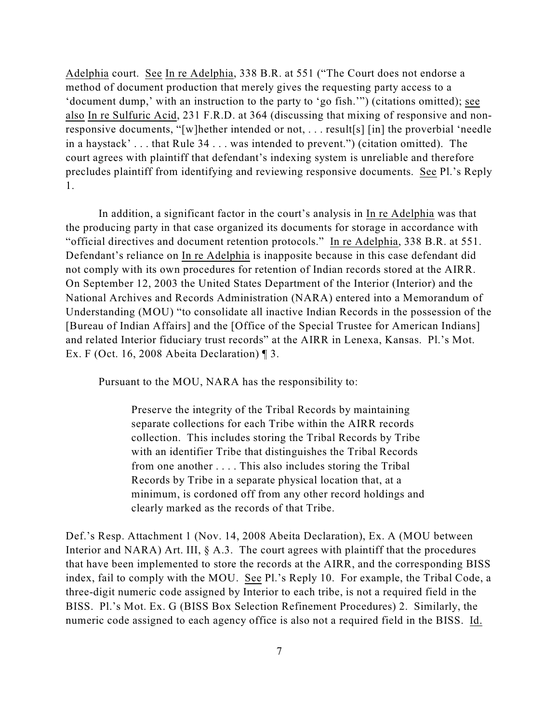Adelphia court. See In re Adelphia, 338 B.R. at 551 ("The Court does not endorse a method of document production that merely gives the requesting party access to a 'document dump,' with an instruction to the party to 'go fish.'") (citations omitted); see also In re Sulfuric Acid, 231 F.R.D. at 364 (discussing that mixing of responsive and nonresponsive documents, "[w]hether intended or not, . . . result[s] [in] the proverbial 'needle in a haystack' . . . that Rule 34 . . . was intended to prevent.") (citation omitted). The court agrees with plaintiff that defendant's indexing system is unreliable and therefore precludes plaintiff from identifying and reviewing responsive documents. See Pl.'s Reply 1.

In addition, a significant factor in the court's analysis in In re Adelphia was that the producing party in that case organized its documents for storage in accordance with "official directives and document retention protocols." In re Adelphia, 338 B.R. at 551. Defendant's reliance on In re Adelphia is inapposite because in this case defendant did not comply with its own procedures for retention of Indian records stored at the AIRR. On September 12, 2003 the United States Department of the Interior (Interior) and the National Archives and Records Administration (NARA) entered into a Memorandum of Understanding (MOU) "to consolidate all inactive Indian Records in the possession of the [Bureau of Indian Affairs] and the [Office of the Special Trustee for American Indians] and related Interior fiduciary trust records" at the AIRR in Lenexa, Kansas. Pl.'s Mot. Ex. F (Oct. 16, 2008 Abeita Declaration) ¶ 3.

Pursuant to the MOU, NARA has the responsibility to:

Preserve the integrity of the Tribal Records by maintaining separate collections for each Tribe within the AIRR records collection. This includes storing the Tribal Records by Tribe with an identifier Tribe that distinguishes the Tribal Records from one another . . . . This also includes storing the Tribal Records by Tribe in a separate physical location that, at a minimum, is cordoned off from any other record holdings and clearly marked as the records of that Tribe.

Def.'s Resp. Attachment 1 (Nov. 14, 2008 Abeita Declaration), Ex. A (MOU between Interior and NARA) Art. III,  $\S$  A.3. The court agrees with plaintiff that the procedures that have been implemented to store the records at the AIRR, and the corresponding BISS index, fail to comply with the MOU. See Pl.'s Reply 10. For example, the Tribal Code, a three-digit numeric code assigned by Interior to each tribe, is not a required field in the BISS. Pl.'s Mot. Ex. G (BISS Box Selection Refinement Procedures) 2. Similarly, the numeric code assigned to each agency office is also not a required field in the BISS. Id.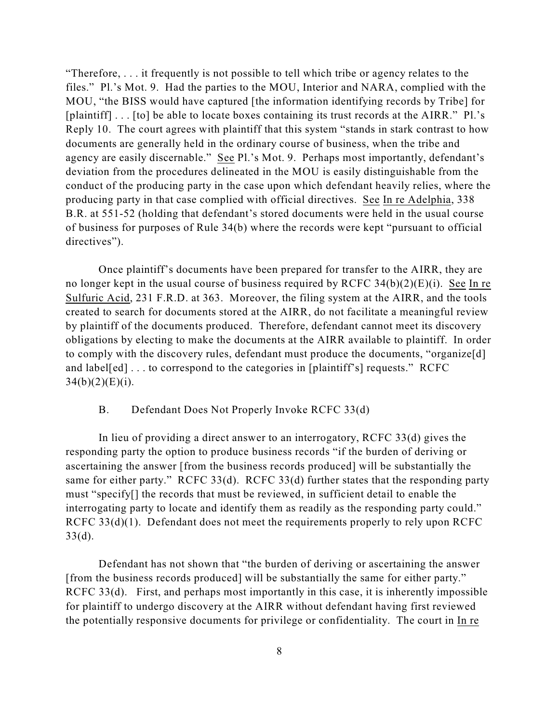"Therefore, . . . it frequently is not possible to tell which tribe or agency relates to the files." Pl.'s Mot. 9. Had the parties to the MOU, Interior and NARA, complied with the MOU, "the BISS would have captured [the information identifying records by Tribe] for [plaintiff] . . . [to] be able to locate boxes containing its trust records at the AIRR." Pl.'s Reply 10. The court agrees with plaintiff that this system "stands in stark contrast to how documents are generally held in the ordinary course of business, when the tribe and agency are easily discernable." See Pl.'s Mot. 9. Perhaps most importantly, defendant's deviation from the procedures delineated in the MOU is easily distinguishable from the conduct of the producing party in the case upon which defendant heavily relies, where the producing party in that case complied with official directives. See In re Adelphia, 338 B.R. at 551-52 (holding that defendant's stored documents were held in the usual course of business for purposes of Rule 34(b) where the records were kept "pursuant to official directives").

Once plaintiff's documents have been prepared for transfer to the AIRR, they are no longer kept in the usual course of business required by RCFC  $34(b)(2)(E)(i)$ . See In re Sulfuric Acid, 231 F.R.D. at 363. Moreover, the filing system at the AIRR, and the tools created to search for documents stored at the AIRR, do not facilitate a meaningful review by plaintiff of the documents produced. Therefore, defendant cannot meet its discovery obligations by electing to make the documents at the AIRR available to plaintiff. In order to comply with the discovery rules, defendant must produce the documents, "organize[d] and label[ed] . . . to correspond to the categories in [plaintiff's] requests." RCFC  $34(b)(2)(E)(i)$ .

## B. Defendant Does Not Properly Invoke RCFC 33(d)

In lieu of providing a direct answer to an interrogatory, RCFC 33(d) gives the responding party the option to produce business records "if the burden of deriving or ascertaining the answer [from the business records produced] will be substantially the same for either party." RCFC 33(d). RCFC 33(d) further states that the responding party must "specify[] the records that must be reviewed, in sufficient detail to enable the interrogating party to locate and identify them as readily as the responding party could." RCFC 33(d)(1). Defendant does not meet the requirements properly to rely upon RCFC  $33(d)$ .

Defendant has not shown that "the burden of deriving or ascertaining the answer [from the business records produced] will be substantially the same for either party." RCFC 33(d). First, and perhaps most importantly in this case, it is inherently impossible for plaintiff to undergo discovery at the AIRR without defendant having first reviewed the potentially responsive documents for privilege or confidentiality. The court in In re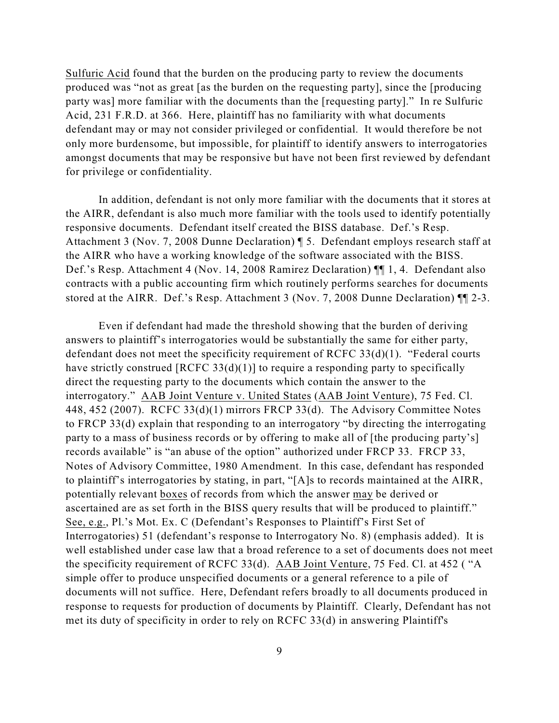Sulfuric Acid found that the burden on the producing party to review the documents produced was "not as great [as the burden on the requesting party], since the [producing party was] more familiar with the documents than the [requesting party]." In re Sulfuric Acid, 231 F.R.D. at 366. Here, plaintiff has no familiarity with what documents defendant may or may not consider privileged or confidential. It would therefore be not only more burdensome, but impossible, for plaintiff to identify answers to interrogatories amongst documents that may be responsive but have not been first reviewed by defendant for privilege or confidentiality.

In addition, defendant is not only more familiar with the documents that it stores at the AIRR, defendant is also much more familiar with the tools used to identify potentially responsive documents. Defendant itself created the BISS database. Def.'s Resp. Attachment 3 (Nov. 7, 2008 Dunne Declaration) ¶ 5. Defendant employs research staff at the AIRR who have a working knowledge of the software associated with the BISS. Def.'s Resp. Attachment 4 (Nov. 14, 2008 Ramirez Declaration) ¶¶ 1, 4. Defendant also contracts with a public accounting firm which routinely performs searches for documents stored at the AIRR. Def.'s Resp. Attachment 3 (Nov. 7, 2008 Dunne Declaration) ¶¶ 2-3.

Even if defendant had made the threshold showing that the burden of deriving answers to plaintiff's interrogatories would be substantially the same for either party, defendant does not meet the specificity requirement of RCFC  $33(d)(1)$ . "Federal courts have strictly construed [RCFC 33(d)(1)] to require a responding party to specifically direct the requesting party to the documents which contain the answer to the interrogatory." AAB Joint Venture v. United States (AAB Joint Venture), 75 Fed. Cl. 448, 452 (2007). RCFC 33(d)(1) mirrors FRCP 33(d). The Advisory Committee Notes to FRCP 33(d) explain that responding to an interrogatory "by directing the interrogating party to a mass of business records or by offering to make all of [the producing party's] records available" is "an abuse of the option" authorized under FRCP 33. FRCP 33, Notes of Advisory Committee, 1980 Amendment. In this case, defendant has responded to plaintiff's interrogatories by stating, in part, "[A]s to records maintained at the AIRR, potentially relevant boxes of records from which the answer may be derived or ascertained are as set forth in the BISS query results that will be produced to plaintiff." See, e.g., Pl.'s Mot. Ex. C (Defendant's Responses to Plaintiff's First Set of Interrogatories) 51 (defendant's response to Interrogatory No. 8) (emphasis added). It is well established under case law that a broad reference to a set of documents does not meet the specificity requirement of RCFC 33(d). AAB Joint Venture, 75 Fed. Cl. at 452 ( "A simple offer to produce unspecified documents or a general reference to a pile of documents will not suffice. Here, Defendant refers broadly to all documents produced in response to requests for production of documents by Plaintiff. Clearly, Defendant has not met its duty of specificity in order to rely on RCFC 33(d) in answering Plaintiff's